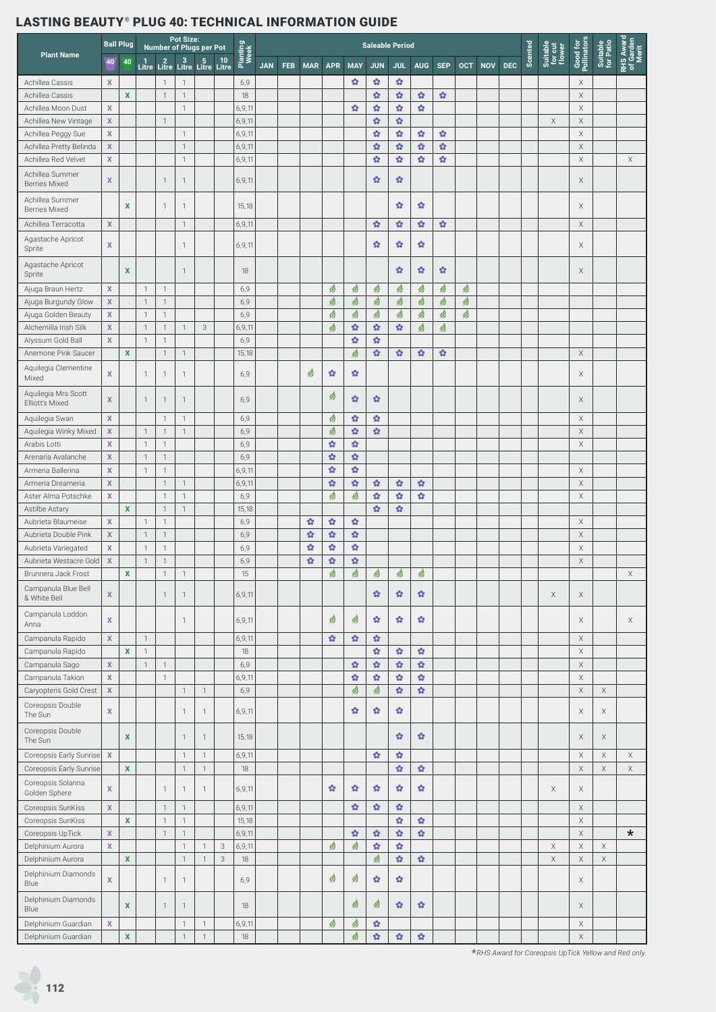| <b>Plant Name</b>                                          |                           | <b>Ball Plug</b>   |                | Number of Plugs per Pot                     | <b>Pot Size:</b>               |                                |                           |                  |            |            |              |            |                        | <b>Saleable Period</b> |                   |                            |              |            |            |            |         |                               |                         |                       |                                 |
|------------------------------------------------------------|---------------------------|--------------------|----------------|---------------------------------------------|--------------------------------|--------------------------------|---------------------------|------------------|------------|------------|--------------|------------|------------------------|------------------------|-------------------|----------------------------|--------------|------------|------------|------------|---------|-------------------------------|-------------------------|-----------------------|---------------------------------|
|                                                            | 40                        | 40                 |                | 1 2 3 5 10<br>Litre Litre Litre Litre Litre |                                |                                |                           | Planting<br>Week | <b>JAN</b> | <b>FEB</b> | <b>MAR</b>   | <b>APR</b> | <b>MAY</b>             | <b>JUN</b>             | <b>JUL</b>        | <b>AUG</b>                 | <b>SEP</b>   | <b>OCT</b> | <b>NOV</b> | <b>DEC</b> | Scented | Suitable<br>for cut<br>flower | Good for<br>Pollinators | Suitable<br>for Patio | RHS Award<br>of Garden<br>Merit |
| Achillea Cassis                                            | $\mathbf x$               |                    |                | $\mathbf{1}$                                | $\mathbf{1}$                   |                                |                           | 6,9              |            |            |              |            | ŵ                      | ŵ                      | $\bullet$         |                            |              |            |            |            |         |                               | X                       |                       |                                 |
| Achillea Cassis                                            |                           | $\mathbf x$        |                | $\mathbf{1}$                                | $\mathbf{1}$                   |                                |                           | 18               |            |            |              |            |                        | ŵ                      | $\bullet$         | $\mathbf{G}$               | ŵ            |            |            |            |         |                               | $\mathsf X$             |                       |                                 |
| Achillea Moon Dust                                         | $\mathbf x$               |                    |                |                                             | $\mathbf{1}$                   |                                |                           | 6,9,11           |            |            |              |            | ŵ                      | ŵ                      | $\Omega$          | $\mathbf{G}$               |              |            |            |            |         |                               | $\mathsf X$             |                       |                                 |
| Achillea New Vintage                                       | $\mathbf x$               |                    |                | 1                                           |                                |                                |                           | 6,9,11           |            |            |              |            |                        | ŵ                      | $\Omega$          |                            |              |            |            |            |         | $\mathsf X$                   | $\mathsf X$             |                       |                                 |
| Achillea Peggy Sue                                         | $\boldsymbol{X}$          |                    |                |                                             | $\mathbf{1}$                   |                                |                           | 6,9,11           |            |            |              |            |                        | ŵ                      | ŵ                 | $\bullet$                  | ŵ            |            |            |            |         |                               | $\mathsf X$             |                       |                                 |
| Achillea Pretty Belinda                                    | $\mathbf{x}$              |                    |                |                                             | $\mathbf{1}$                   |                                |                           | 6,9,11           |            |            |              |            |                        | $\mathbf{G}$           | $\mathbf{G}$      | $\mathbf{G}$               | $\mathbf{G}$ |            |            |            |         |                               | $\mathsf X$             |                       |                                 |
| Achillea Red Velvet                                        | $\mathbf x$               |                    |                |                                             | $\mathbf{1}$                   |                                |                           | 6,9,11           |            |            |              |            |                        | ŵ                      | $\mathbf{G}$      | $\mathbf{G}$               | ŵ            |            |            |            |         |                               | $\mathsf X$             |                       | X                               |
| Achillea Summer<br><b>Berries Mixed</b>                    | $\mathbf x$               |                    |                | $\mathbf{1}$                                | $\mathbf{1}$                   |                                |                           | 6,9,11           |            |            |              |            |                        | ŵ                      | ŵ                 |                            |              |            |            |            |         |                               | Χ                       |                       |                                 |
| Achillea Summer<br><b>Berries Mixed</b>                    |                           | X                  |                | $\mathbf{1}$                                | $\mathbf{1}$                   |                                |                           | 15,18            |            |            |              |            |                        |                        | ŵ                 | ŵ                          |              |            |            |            |         |                               | Χ                       |                       |                                 |
| Achillea Terracotta                                        | $\mathbf x$               |                    |                |                                             | $\mathbf{1}$                   |                                |                           | 6,9,11           |            |            |              |            |                        | ŵ                      | $\bullet$         | $\mathbf{G}$               | $\mathbf{G}$ |            |            |            |         |                               | X                       |                       |                                 |
| Agastache Apricot<br>Sprite                                | $\mathbf x$               |                    |                |                                             | $\mathbf{1}$                   |                                |                           | 6,9,11           |            |            |              |            |                        | ŵ                      | ŵ                 | ŵ                          |              |            |            |            |         |                               | Χ                       |                       |                                 |
| Agastache Apricot<br>Sprite                                |                           | $\mathbf x$        |                |                                             | $\mathbf{1}$                   |                                |                           | 18               |            |            |              |            |                        |                        | ŵ                 | ŵ                          | ŵ            |            |            |            |         |                               | Χ                       |                       |                                 |
| Ajuga Braun Hertz                                          | X                         |                    | $\mathbf{1}$   | $\mathbf{1}$                                |                                |                                |                           | 6,9              |            |            |              | Ø          | ☝                      | ☝                      | Ø                 | ☝                          | ø            | ☝          |            |            |         |                               |                         |                       |                                 |
| Ajuga Burgundy Glow                                        | $\mathbf x$               |                    | $\overline{1}$ | $\mathbf{1}$                                |                                |                                |                           | 6,9              |            |            |              | ☝          | ☝                      | ☝                      | ☝                 | ☝                          | ☝            | ☝          |            |            |         |                               |                         |                       |                                 |
| Ajuga Golden Beauty                                        | $\boldsymbol{X}$          |                    | $\overline{1}$ | $\mathbf{1}$                                |                                |                                |                           | 6,9              |            |            |              | ☝          | ☝                      | ☝                      | ☝                 | ☝                          | ☝            | ☝          |            |            |         |                               |                         |                       |                                 |
| Alchemilla Irish Silk                                      | $\mathbf x$               |                    | $\mathbf{1}$   | $\mathbf{1}$                                | $\mathbf{1}$                   | $_{3}$                         |                           | 6,9,11           |            |            |              | ☝          | $\boldsymbol{\Omega}$  | $\mathbf{G}$           | $\mathbf{G}$      | ☝                          | ☝            |            |            |            |         |                               |                         |                       |                                 |
| Alyssum Gold Ball                                          | $\mathbf{x}$              |                    | $\overline{1}$ | $\mathbf{1}$                                |                                |                                |                           | 6,9              |            |            |              |            | $\mathbf{G}^{\bullet}$ | ŵ                      |                   |                            |              |            |            |            |         |                               |                         |                       |                                 |
| Anemone Pink Saucer                                        |                           | $\mathbf x$        |                | $\mathbf{1}$                                | $\mathbf{1}$                   |                                |                           | 15,18            |            |            |              |            | ☝                      | ŵ                      | $\mathbf{G}$      | $\mathbf{G}$               | ŵ            |            |            |            |         |                               | Χ                       |                       |                                 |
| Aquilegia Clementine<br>Mixed                              | $\mathbf{x}$              |                    | $\mathbf{1}$   | 1                                           | $\mathbf{1}$                   |                                |                           | 6,9              |            |            | 99           | ŵ          | ŵ                      |                        |                   |                            |              |            |            |            |         |                               | Χ                       |                       |                                 |
| Aquilegia Mrs Scott<br>Elliott's Mixed                     | $\mathbf{x}$              |                    | $\mathbf{1}$   | 1                                           | $\mathbf{1}$                   |                                |                           | 6,9              |            |            |              | Ø          | ŵ                      | ŵ                      |                   |                            |              |            |            |            |         |                               | Χ                       |                       |                                 |
| Aquilegia Swan                                             | $\mathbf x$               |                    |                | $\mathbf{1}$                                | $\mathbf{1}$                   |                                |                           | 6,9              |            |            |              | ☝          | ŵ                      | ŵ                      |                   |                            |              |            |            |            |         |                               | X                       |                       |                                 |
| Aquilegia Winky Mixed                                      | $\mathbf x$               |                    | $\overline{1}$ | $\mathbf{1}$                                | $\mathbf{1}$                   |                                |                           | 6,9              |            |            |              | ☝          | $\mathbf{Q}$           | $\mathbf{Q}$           |                   |                            |              |            |            |            |         |                               | $\mathsf X$             |                       |                                 |
| Arabis Lotti                                               | $\boldsymbol{\mathsf{x}}$ |                    | $\overline{1}$ | $\mathbf{1}$                                |                                |                                |                           | 6,9              |            |            |              | ŵ          | $\mathbf{G}^{\bullet}$ |                        |                   |                            |              |            |            |            |         |                               | $\mathsf X$             |                       |                                 |
| Arenaria Avalanche                                         | $\mathbf x$               |                    | $\mathbf{1}$   | $\mathbf{1}$                                |                                |                                |                           | 6,9              |            |            |              | ŵ          | $\mathbf{G}^{\bullet}$ |                        |                   |                            |              |            |            |            |         |                               |                         |                       |                                 |
| Armeria Ballerina                                          | $\mathbf x$               |                    | $\overline{1}$ | $\mathbf{1}$                                |                                |                                |                           | 6,9,11           |            |            |              | ŵ          | ŵ                      |                        |                   |                            |              |            |            |            |         |                               | X                       |                       |                                 |
| Armeria Dreameria                                          | $\boldsymbol{\mathsf{X}}$ |                    |                | $\mathbf{1}$                                | $\mathbf{1}$                   |                                |                           | 6,9,11           |            |            |              | ŵ          | $\boldsymbol{\Omega}$  | ŵ                      | $\mathbf{G}$      | $\mathbf{G}$               |              |            |            |            |         |                               | Χ                       |                       |                                 |
| Aster Alma Potschke                                        | $\mathbf x$               |                    |                | $\mathbf{1}$                                | $\mathbf{1}$                   |                                |                           | 6,9              |            |            |              | ☝          | ☝                      | $\bullet$              | $\Omega$          | $\mathbf{G}$               |              |            |            |            |         |                               | X                       |                       |                                 |
| Astilbe Astary                                             |                           | $\mathbf x$        |                | $\mathbf{1}$                                | $\mathbf{1}$                   |                                |                           | 15,18            |            |            |              |            |                        | $\mathbf{Q}$           | $\mathbf{G}$      |                            |              |            |            |            |         |                               |                         |                       |                                 |
| Aubrieta Blaumeise                                         | $\mathbf x$               |                    | $\overline{1}$ | $\mathbf{1}$                                |                                |                                |                           | 6,9              |            |            | ŵ            | ŵ          | ŵ                      |                        |                   |                            |              |            |            |            |         |                               | $\mathsf X$             |                       |                                 |
| Aubrieta Double Pink                                       | $\mathbf x$               |                    | $\overline{1}$ | $\mathbf{1}$                                |                                |                                |                           | 6,9              |            |            | $\mathbf{G}$ | ŵ          | $\boldsymbol{\Omega}$  |                        |                   |                            |              |            |            |            |         |                               | $\mathsf X$             |                       |                                 |
| Aubrieta Variegated                                        | $\boldsymbol{X}$          |                    | $\mathbf{1}$   | $\mathbf{1}$                                |                                |                                |                           | 6,9              |            |            | $\mathbf{G}$ | ŵ          | $\Omega$               |                        |                   |                            |              |            |            |            |         |                               | X                       |                       |                                 |
| Aubrieta Westacre Gold                                     | $\boldsymbol{X}$          | $\pmb{\mathsf{x}}$ | $\mathbf{1}$   | $\mathbf{1}$<br>$\mathbf{1}$                |                                |                                |                           | 6,9<br>15        |            |            | $\bullet$    | ŵ          | $\mathfrak{A}$         |                        |                   |                            |              |            |            |            |         |                               | $\mathsf X$             |                       |                                 |
| Brunnera Jack Frost<br>Campanula Blue Bell<br>& White Bell | $\mathbf x$               |                    |                | $\mathbf{1}$                                | $\overline{1}$<br>$\mathbf{1}$ |                                |                           | 6,9,11           |            |            |              | ₫          | 鹵                      | 鹵<br>ŵ                 | 勇<br>$\mathbf{G}$ | ₫<br>$\boldsymbol{\Omega}$ |              |            |            |            |         | $\mathsf X$                   | X                       |                       | $\times$                        |
| Campanula Loddon<br>Anna                                   | $\mathbf x$               |                    |                |                                             | $\mathbf{1}$                   |                                |                           | 6,9,11           |            |            |              | ☝          | 勇                      | ŵ                      | ŵ                 | $\boldsymbol{\Omega}$      |              |            |            |            |         |                               | Χ                       |                       | X                               |
| Campanula Rapido                                           | $\mathbf x$               |                    | $\mathbf{1}$   |                                             |                                |                                |                           | 6,9,11           |            |            |              | ŵ          | ŵ                      | $\Omega$               |                   |                            |              |            |            |            |         |                               | $\times$                |                       |                                 |
| Campanula Rapido                                           |                           | $\mathbf x$        | $\mathbf{1}$   |                                             |                                |                                |                           | $18\,$           |            |            |              |            |                        | $\dot{\Omega}$         | $\Omega$          | $\Omega$                   |              |            |            |            |         |                               | $\mathsf X$             |                       |                                 |
| Campanula Sago                                             | $\mathbf x$               |                    | $\mathbf{1}$   | $\mathbf{1}$                                |                                |                                |                           | 6,9              |            |            |              |            | $\mathbf{G}^{\bullet}$ | $\mathbf{G}$           | $\mathbf{G}$      | $\mathbf{G}^{\bullet}$     |              |            |            |            |         |                               | $\mathsf X$             |                       |                                 |
| Campanula Takion                                           | $\mathbf x$               |                    |                | $\mathbf{1}$                                |                                |                                |                           | 6,9,11           |            |            |              |            | $\mathfrak{A}$         | $\mathfrak{A}$         | $\mathbf{G}$      | $\mathfrak{A}$             |              |            |            |            |         |                               | $\mathsf X$             |                       |                                 |
| Caryopteris Gold Crest                                     | $\mathbf x$               |                    |                |                                             | $\mathbf{1}$                   | $\overline{1}$                 |                           | 6,9              |            |            |              |            | ☝                      | ☝                      | $\Omega$          | $\mathbf{Q}$               |              |            |            |            |         |                               | $\mathsf X$             | X                     |                                 |
| Coreopsis Double<br>The Sun                                | $\mathbf x$               |                    |                |                                             | 1                              | 1                              |                           | 6,9,11           |            |            |              |            | ŵ                      | ŵ                      | $\bullet$         |                            |              |            |            |            |         |                               | Χ                       | Χ                     |                                 |
| Coreopsis Double<br>The Sun                                |                           | $\mathbf x$        |                |                                             | 1                              | $\mathbf{1}$                   |                           | 15,18            |            |            |              |            |                        |                        | $\mathbf{G}$      | $\boldsymbol{\Omega}$      |              |            |            |            |         |                               | Χ                       | Χ                     |                                 |
| Coreopsis Early Sunrise   X                                |                           |                    |                |                                             | $\mathbf{1}$                   | $\overline{1}$                 |                           | 6,9,11           |            |            |              |            |                        | $\mathbf{\hat{u}}$     | $\Omega$          |                            |              |            |            |            |         |                               | $\mathsf X$             | $\mathsf X$           | $\mathsf X$                     |
| Coreopsis Early Sunrise                                    |                           | $\mathbf x$        |                |                                             | $\mathbf{1}$                   | $\mathbf{1}$                   |                           | 18               |            |            |              |            |                        |                        | $\Omega$          | $\Omega$                   |              |            |            |            |         |                               | $\mathsf X$             | $\mathsf X$           | $\times$                        |
| Coreopsis Solanna                                          |                           |                    |                |                                             |                                |                                |                           |                  |            |            |              |            |                        |                        |                   |                            |              |            |            |            |         |                               |                         |                       |                                 |
| Golden Sphere                                              | $\mathbf x$               |                    |                | $\mathbf{1}$                                | $\mathbf{1}$                   | $\mathbf{1}$                   |                           | 6,9,11           |            |            |              | ŵ          | ŵ                      | ŵ                      | $\bullet$         | ŵ                          |              |            |            |            |         | Χ                             | Χ                       |                       |                                 |
| Coreopsis SunKiss                                          | $\mathbf x$               |                    |                | $\mathbf{1}$                                | $\mathbf{1}$                   |                                |                           | 6,9,11           |            |            |              |            | $\mathfrak{O}$         | $\mathbf{G}$           | $\mathbf{G}$      |                            |              |            |            |            |         |                               | $\mathsf X$             |                       |                                 |
| Coreopsis SunKiss                                          |                           | $\pmb{\mathsf{x}}$ |                | $\mathbf 1$                                 | $\mathbf{1}$                   |                                |                           | 15,18            |            |            |              |            |                        |                        | $\Omega$          | $\Omega$                   |              |            |            |            |         |                               | $\mathsf X$             |                       |                                 |
| Coreopsis UpTick                                           | $\mathbf x$               |                    |                | $\mathbf{1}$                                | $\mathbf{1}$                   |                                |                           | 6, 9, 11         |            |            |              |            | $\Omega$               | $\mathbf{\hat{u}}$     | $\mathbf{G}$      | $\Omega$                   |              |            |            |            |         |                               | $\mathsf X$             |                       | $\star$                         |
| Delphinium Aurora                                          | $\mathbf{x}$              |                    |                |                                             | $\mathbf{1}$                   | $\overline{1}$                 | $_{\rm 3}$                | 6, 9, 11         |            |            |              | ☝          | 勇                      | $\mathfrak{A}$         | $\mathbf{G}$      |                            |              |            |            |            |         | $\mathsf X$                   | $\mathsf X$             | $\mathsf X$           |                                 |
| Delphinium Aurora                                          |                           | $\pmb{\mathsf{x}}$ |                |                                             | $\mathbf{1}$                   | $\overline{1}$                 | $\ensuremath{\mathsf{3}}$ | 18               |            |            |              |            |                        | ☝                      | $\Omega$          | $\Omega$                   |              |            |            |            |         | $\mathsf X$                   | $\mathsf X$             | $\mathsf X$           |                                 |
| Delphinium Diamonds<br>Blue                                | $\mathbf{x}$              |                    |                | $\mathbf{1}$                                | $\mathbf{1}$                   |                                |                           | 6,9              |            |            |              | 99         | ☝                      | ŵ                      | ŵ                 |                            |              |            |            |            |         |                               | Χ                       |                       |                                 |
| Delphinium Diamonds<br>Blue                                |                           | $\mathbf x$        |                | $\mathbf{1}$                                | $\mathbf{1}$                   |                                |                           | 18               |            |            |              |            | ☝                      | ☝                      | $\mathbf{G}$      | $\boldsymbol{\Omega}$      |              |            |            |            |         |                               | X                       |                       |                                 |
| Delphinium Guardian<br>Delphinium Guardian                 | $\mathbf x$               | $\pmb{\mathsf{x}}$ |                |                                             | $\mathbf{1}$<br>$\mathbf{1}$   | $\overline{1}$<br>$\mathbf{1}$ |                           | 6,9,11<br>18     |            |            |              | ☝          | ☝<br>₫                 | ŵ<br>$\mathfrak{O}$    | $\mathfrak{S}$    | $\mathfrak{O}$             |              |            |            |            |         |                               | Χ<br>$\mathsf X$        |                       |                                 |
|                                                            |                           |                    |                |                                             |                                |                                |                           |                  |            |            |              |            |                        |                        |                   |                            |              |            |            |            |         |                               |                         |                       |                                 |

\**RHS Award for Coreopsis UpTick Yellow and Red only.*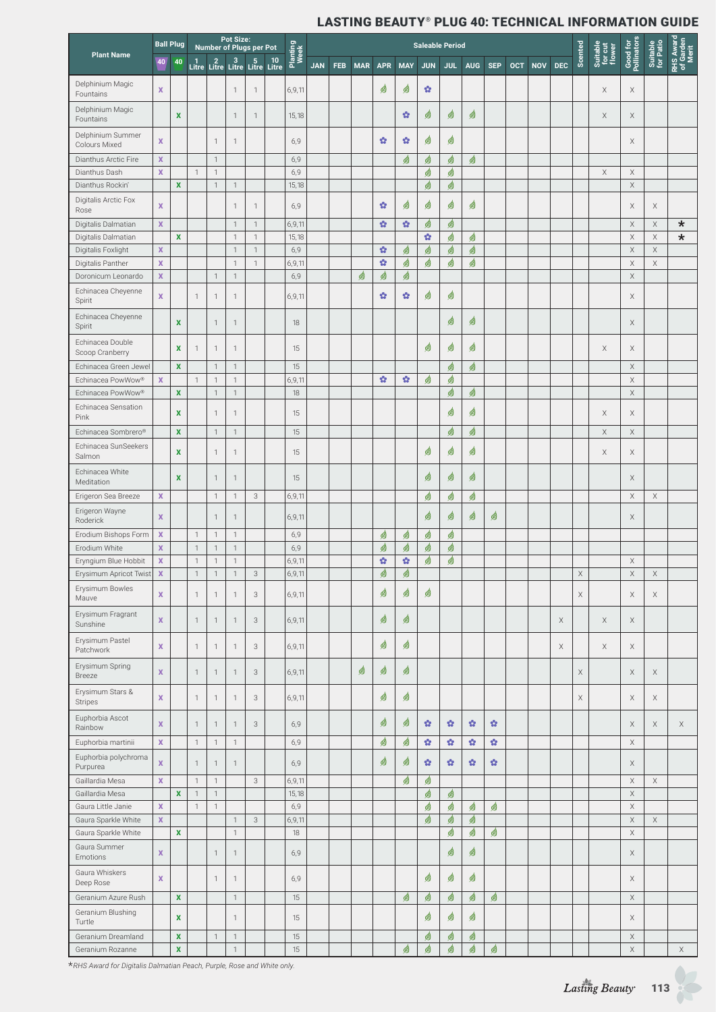|                                                    | <b>Ball Plug</b>           |                           |                              |                                                                    | <b>Pot Size:</b><br>Number of Plugs per Pot |                              |                  |            |     |            |                        |                   | <b>Saleable Period</b> |            |                    |            |            |            |             |             |                               |                            |                         |                                 |
|----------------------------------------------------|----------------------------|---------------------------|------------------------------|--------------------------------------------------------------------|---------------------------------------------|------------------------------|------------------|------------|-----|------------|------------------------|-------------------|------------------------|------------|--------------------|------------|------------|------------|-------------|-------------|-------------------------------|----------------------------|-------------------------|---------------------------------|
| <b>Plant Name</b><br>Delphinium Magic<br>Fountains | 40                         | 40                        |                              | $\begin{array}{cc} 1 & 2 \\ \text{Life} & \text{Life} \end{array}$ | $3 5 10$<br>Litre Litre Litre               |                              | Planting<br>Week | <b>JAN</b> | FEB | <b>MAR</b> | <b>APR</b>             | <b>MAY</b>        | <b>JUN</b>             | <b>JUL</b> | <b>AUG</b>         | <b>SEP</b> | <b>OCT</b> | <b>NOV</b> | <b>DEC</b>  | Scented     | Suitable<br>for cut<br>flower | Good for<br>Pollinator:    | Suitable<br>for Patio   | RHS Award<br>of Garden<br>Merit |
|                                                    | $\mathbf x$                |                           |                              |                                                                    | $\mathbf{1}$                                | 1                            | 6,9,11           |            |     |            | ☝                      | G                 | ŵ                      |            |                    |            |            |            |             |             | Χ                             | Χ                          |                         |                                 |
| Delphinium Magic<br>Fountains                      |                            | $\boldsymbol{\mathsf{x}}$ |                              |                                                                    | $\mathbf{1}$                                | $\mathbf{1}$                 | 15,18            |            |     |            |                        | ŵ                 | G                      | 99         | ☝                  |            |            |            |             |             | Χ                             | X                          |                         |                                 |
| Delphinium Summer<br>Colours Mixed                 | X                          |                           |                              | $\overline{1}$                                                     | 1                                           |                              | 6,9              |            |     |            | $\boldsymbol{\Omega}$  | ŵ                 | G                      | 傅          |                    |            |            |            |             |             |                               | Χ                          |                         |                                 |
| Dianthus Arctic Fire                               | $\mathbf x$                |                           |                              | $\overline{1}$                                                     |                                             |                              | 6,9              |            |     |            |                        | ☝                 | ☝                      | 9          | ☝                  |            |            |            |             |             |                               |                            |                         |                                 |
| Dianthus Dash<br>Dianthus Rockin'                  | $\mathbf x$                | $\mathbf x$               | $\mathbf{1}$                 | $\overline{1}$<br>$\overline{1}$                                   | $\overline{1}$                              |                              | 6,9<br>15,18     |            |     |            |                        |                   | ☝<br>☝                 | 99<br>☝    |                    |            |            |            |             |             | $\mathsf X$                   | X<br>$\mathsf X$           |                         |                                 |
| Digitalis Arctic Fox<br>Rose                       | X                          |                           |                              |                                                                    | $\overline{1}$                              | $\mathbf{1}$                 | 6,9              |            |     |            | ŵ                      | G                 | G                      | 傅          | ☝                  |            |            |            |             |             |                               | X                          | X                       |                                 |
| Digitalis Dalmatian                                | $\mathbf x$                |                           |                              |                                                                    | $\mathbf{1}$                                | $\mathbf{1}$                 | 6,9,11           |            |     |            | ŵ                      | $\mathbf{G}$      | ☝                      | 9          |                    |            |            |            |             |             |                               | $\mathsf X$                | $\times$                | $\star$                         |
| Digitalis Dalmatian                                |                            | $\mathbf x$               |                              |                                                                    | $\overline{1}$                              | $\mathbf{1}$                 | 15,18            |            |     |            |                        |                   | $\mathbf{G}$           | 99         | ☝                  |            |            |            |             |             |                               | $\times$                   | $\times$                | $\star$                         |
| Digitalis Foxlight                                 | $\mathbf x$<br>$\mathbf x$ |                           |                              |                                                                    | $\overline{1}$<br>$\mathbf{1}$              | $\mathbf{1}$<br>$\mathbf{1}$ | 6,9              |            |     |            | $\bullet$<br>$\bullet$ | ☝                 | ☝                      | ☝          | ☝<br>☝             |            |            |            |             |             |                               | $\mathsf X$<br>$\mathsf X$ | $\times$<br>$\mathsf X$ |                                 |
| Digitalis Panther<br>Doronicum Leonardo            | $\mathbf x$                |                           |                              | $\mathbf{1}$                                                       | $\mathbf 1$                                 |                              | 6,9,11<br>6,9    |            |     | ☝          | ☝                      | ☝<br>☝            | ☝                      | ☝          |                    |            |            |            |             |             |                               | X                          |                         |                                 |
| Echinacea Cheyenne                                 |                            |                           |                              |                                                                    |                                             |                              |                  |            |     |            |                        |                   |                        |            |                    |            |            |            |             |             |                               |                            |                         |                                 |
| Spirit<br>Echinacea Cheyenne                       | $\mathbf x$                |                           | $\mathbf{1}$                 | $\overline{1}$                                                     | $\mathbf{1}$                                |                              | 6,9,11           |            |     |            | ŵ                      | ŵ                 | ☝                      | 傅          |                    |            |            |            |             |             |                               | X                          |                         |                                 |
| Spirit<br>Echinacea Double                         |                            | X                         |                              | $\mathbf{1}$                                                       | 1                                           |                              | 18               |            |     |            |                        |                   |                        | 99         | ☝                  |            |            |            |             |             |                               | X                          |                         |                                 |
| Scoop Cranberry                                    |                            | X                         | 1                            | $\mathbf{1}$                                                       | $\mathbf 1$                                 |                              | 15               |            |     |            |                        |                   | ☝                      | ☝          | ☝                  |            |            |            |             |             | Χ                             | X                          |                         |                                 |
| Echinacea Green Jewel                              |                            | $\mathbf{x}$              | $\mathbf{1}$                 | $\overline{1}$                                                     | $\mathbf{1}$<br>$\mathbf{1}$                |                              | 15               |            |     |            |                        |                   |                        | 99         | ☝                  |            |            |            |             |             |                               | $\times$                   |                         |                                 |
| Echinacea PowWow®<br>Echinacea PowWow®             | $\mathbf{x}$               | $\pmb{\mathsf{x}}$        |                              | $\mathbf{1}$<br>$\overline{1}$                                     | $\mathbf{1}$                                |                              | 6,9,11<br>18     |            |     |            | $\Omega$               | $\mathbf{G}$      | ☝                      | ☝<br>99    | ☝                  |            |            |            |             |             |                               | $\mathsf X$<br>X           |                         |                                 |
| Echinacea Sensation<br>Pink                        |                            | X                         |                              | $\mathbf{1}$                                                       | $\mathbf{1}$                                |                              | 15               |            |     |            |                        |                   |                        | 99         | ☝                  |            |            |            |             |             | Χ                             | X                          |                         |                                 |
| Echinacea Sombrero®                                |                            | $\pmb{\mathsf{x}}$        |                              | $\overline{1}$                                                     | $\mathbf{1}$                                |                              | 15               |            |     |            |                        |                   |                        | 99         | ☝                  |            |            |            |             |             | X                             | $\mathsf X$                |                         |                                 |
| Echinacea SunSeekers<br>Salmon                     |                            | x                         |                              | $\mathbf{1}$                                                       | $\mathbf{1}$                                |                              | 15               |            |     |            |                        |                   | ☝                      | 傅          | ☝                  |            |            |            |             |             | Χ                             | Χ                          |                         |                                 |
| Echinacea White<br>Meditation                      |                            | $\mathbf x$               |                              | $\overline{1}$                                                     | $\mathbf{1}$                                |                              | 15               |            |     |            |                        |                   | ☝                      | 99         | ☝                  |            |            |            |             |             |                               | $\times$                   |                         |                                 |
| Erigeron Sea Breeze                                | $\mathbf x$                |                           |                              | $\overline{1}$                                                     | $\mathbf 1$                                 | 3                            | 6,9,11           |            |     |            |                        |                   | ☝                      | ☝          | ☝                  |            |            |            |             |             |                               | $\mathsf X$                | $\mathsf X$             |                                 |
| Erigeron Wayne<br>Roderick                         | $\mathbf x$                |                           |                              | $\mathbf{1}$                                                       | $\mathbf{1}$                                |                              | 6,9,11           |            |     |            |                        |                   | ☝                      | 99         | 99                 | ☝          |            |            |             |             |                               | Χ                          |                         |                                 |
| Erodium Bishops Form                               | $\mathbf x$                |                           | $\mathbf{1}$                 | $\overline{1}$                                                     | $\overline{1}$                              |                              | 6,9              |            |     |            | ☝                      | ☝                 | ☝                      | ☝          |                    |            |            |            |             |             |                               |                            |                         |                                 |
| Erodium White<br>Eryngium Blue Hobbit              | $\mathbf x$<br>X           |                           | $\mathbf{1}$<br>$\mathbf{1}$ | $\overline{1}$<br>$\mathbf{1}$                                     | $\mathbf{1}$<br>$\mathbf{1}$                |                              | 6,9<br>6,9,11    |            |     |            | ☝<br>$\mathbf{G}$      | ☝<br>$\mathbf{G}$ | ☝<br>☝                 | ☝<br>☝     |                    |            |            |            |             |             |                               | $\mathsf X$                |                         |                                 |
| Erysimum Apricot Twist                             | $\mathbf x$                |                           | $\ensuremath{\mathsf{1}}$    | $\mathbf{1}$                                                       | $\mathbf{1}$                                | $\ensuremath{\mathsf{3}}$    | 6,9,11           |            |     |            | ₫                      | ₫                 |                        |            |                    |            |            |            |             | $\mathsf X$ |                               | $\mathsf X$                | $\mathsf X$             |                                 |
| Erysimum Bowles<br>Mauve                           | $\mathbf x$                |                           | $\mathbf{1}$                 | $\mathbf{1}$                                                       | $\overline{1}$                              | $\ensuremath{\mathsf{3}}$    | 6,9,11           |            |     |            | ☝                      | ☝                 | ☝                      |            |                    |            |            |            |             | $\mathsf X$ |                               | $\mathsf X$                | $\mathsf X$             |                                 |
| Erysimum Fragrant<br>Sunshine                      | $\mathbf x$                |                           | $\mathbf{1}$                 | $\overline{1}$                                                     | $\mathbf 1$                                 | $\ensuremath{\mathsf{3}}$    | 6,9,11           |            |     |            | ☝                      | 勇                 |                        |            |                    |            |            |            | $\mathsf X$ |             | $\mathsf X$                   | X                          |                         |                                 |
| Erysimum Pastel<br>Patchwork                       | $\mathbf x$                |                           | $\mathbf{1}$                 | $\mathbf{1}$                                                       | $\mathbf{1}$                                | $\ensuremath{\mathsf{3}}$    | 6,9,11           |            |     |            | ☝                      | ☝                 |                        |            |                    |            |            |            | $\mathsf X$ |             | X                             | $\mathsf X$                |                         |                                 |
| Erysimum Spring<br><b>Breeze</b>                   | $\mathbf x$                |                           | $\mathbf{1}$                 | $\overline{1}$                                                     | $\mathbf{1}$                                | $\ensuremath{\mathsf{3}}$    | 6,9,11           |            |     | ☝          | ☝                      | 勇                 |                        |            |                    |            |            |            |             | $\mathsf X$ |                               | $\times$                   | $\times$                |                                 |
| Erysimum Stars &<br><b>Stripes</b>                 | $\mathbf x$                |                           | $\mathbf{1}$                 | $\overline{1}$                                                     | $\big\uparrow$                              | $\ensuremath{\mathsf{3}}$    | 6,9,11           |            |     |            | ☝                      | 傅                 |                        |            |                    |            |            |            |             | X           |                               | X                          | $\mathsf X$             |                                 |
| Euphorbia Ascot<br>Rainbow                         | $\mathbf x$                |                           | $\mathbf{1}$                 | $\mathbf{1}$                                                       | $\mathbf{1}$                                | 3                            | 6,9              |            |     |            | ☝                      | ☝                 | ŵ                      | ŵ          | ŵ                  | ŵ          |            |            |             |             |                               | X                          | X                       | $\mathsf X$                     |
| Euphorbia martinii                                 | $\mathbf x$                |                           | $\mathbf{1}$                 | $\mathbf{1}$                                                       | $\mathbf{1}$                                |                              | 6,9              |            |     |            | ☝                      | 傅                 | $\Omega$               | ŵ          | $\mathbf{\hat{u}}$ | $\Omega$   |            |            |             |             |                               | $\mathsf X$                |                         |                                 |
| Euphorbia polychroma<br>Purpurea                   | $\mathbf x$                |                           | $\mathbf{1}$                 | $\overline{1}$                                                     | $\mathbf{1}$                                |                              | 6,9              |            |     |            | ☝                      | ☝                 | ŵ                      | ŵ          | ŵ                  | ŵ          |            |            |             |             |                               | $\times$                   |                         |                                 |
| Gaillardia Mesa<br>Gaillardia Mesa                 | $\mathbf x$                | $\mathbf x$               | $\mathbf{1}$<br>$\mathbf{1}$ | $\overline{1}$<br>$\mathbf{1}$                                     |                                             | $\ensuremath{\mathsf{3}}$    | 6,9,11<br>15,18  |            |     |            |                        | ☝                 | ☝<br>☝                 | 9          |                    |            |            |            |             |             |                               | X<br>$\mathsf X$           | $\mathsf X$             |                                 |
| Gaura Little Janie                                 | $\mathbf x$                |                           | $\mathbf{1}$                 | $\overline{1}$                                                     |                                             |                              | 6,9              |            |     |            |                        |                   | ☝                      | 9          | ☝                  | 99         |            |            |             |             |                               | $\mathsf X$                |                         |                                 |
| Gaura Sparkle White                                | $\mathbf x$                |                           |                              |                                                                    | $\overline{1}$                              | $\ensuremath{\mathsf{3}}$    | 6,9,11           |            |     |            |                        |                   | ☝                      | 傅          | ☝                  |            |            |            |             |             |                               | $\mathsf X$                | $\mathsf X$             |                                 |
| Gaura Sparkle White                                |                            | $\mathbf x$               |                              |                                                                    | $\mathbf{1}$                                |                              | 18               |            |     |            |                        |                   |                        | 9          | ☝                  | 9          |            |            |             |             |                               | $\mathsf X$                |                         |                                 |
| Gaura Summer<br>Emotions                           | $\mathbf x$                |                           |                              | $\overline{1}$                                                     | $\mathbf{1}$                                |                              | 6,9              |            |     |            |                        |                   |                        | ☝          | ☝                  |            |            |            |             |             |                               | X                          |                         |                                 |
| Gaura Whiskers<br>Deep Rose                        | $\mathbf x$                |                           |                              | $\overline{1}$                                                     | $\mathbf{1}$                                |                              | 6,9              |            |     |            |                        |                   | ☝                      | ☝          | ☝                  |            |            |            |             |             |                               | X                          |                         |                                 |
| Geranium Azure Rush                                |                            | $\pmb{\mathsf{x}}$        |                              |                                                                    | $\mathbf{1}$                                |                              | 15               |            |     |            |                        | 9                 | ☝                      | 9          | ☝                  | 9          |            |            |             |             |                               | $\mathsf X$                |                         |                                 |
| Geranium Blushing<br>Turtle                        |                            | $\pmb{\mathsf{x}}$        |                              |                                                                    | $\overline{1}$                              |                              | 15               |            |     |            |                        |                   | ☝                      | ☝          | ☝                  |            |            |            |             |             |                               | X                          |                         |                                 |
| Geranium Dreamland                                 |                            | $\pmb{\mathsf{x}}$        |                              | $\overline{1}$                                                     | $\mathbf{1}$                                |                              | 15               |            |     |            |                        |                   | ☝                      | 99         | ☝                  |            |            |            |             |             |                               | X                          |                         |                                 |
| Geranium Rozanne                                   |                            | $\pmb{\mathsf{x}}$        |                              |                                                                    | $\mathbf{1}$                                |                              | 15               |            |     |            |                        | 9                 | ☝                      | ☝          | 鹵                  | ☝          |            |            |             |             |                               | $\mathsf X$                |                         | $\boldsymbol{\times}$           |

\**RHS Award for Digitalis Dalmatian Peach, Purple, Rose and White only.*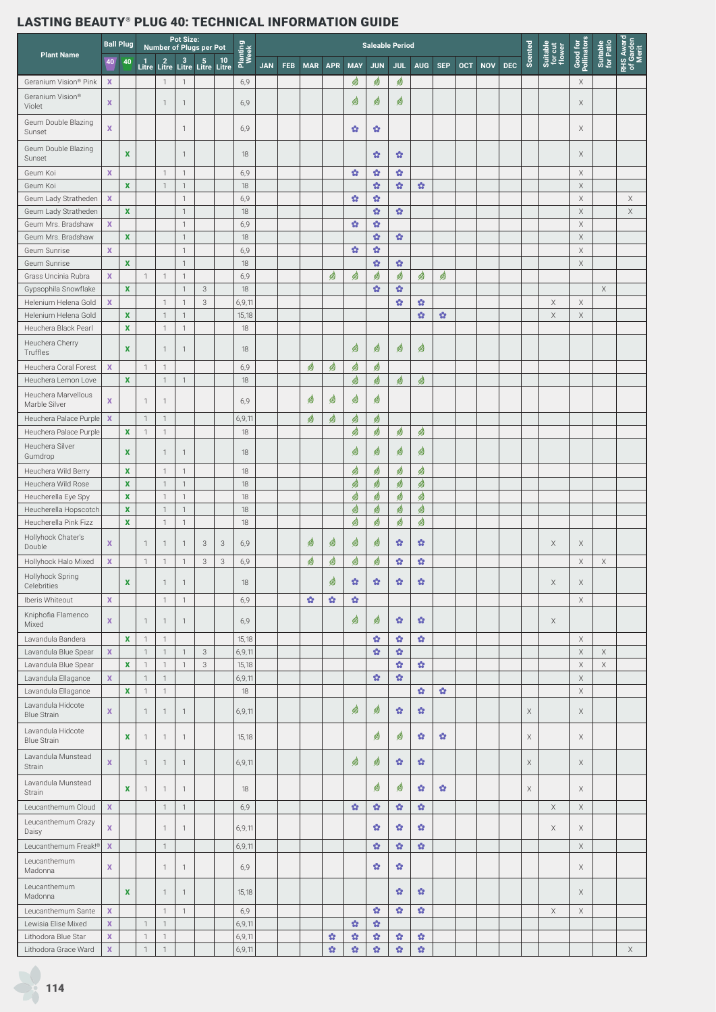|                                                |                             | <b>Ball Plug</b>           |                                  |                              | <b>Pot Size:</b>             | Number of Plugs per Pot |                               |                  |            |     |            |              |                       |                                    | <b>Saleable Period</b>  |                       |                       |            |            |            |         |                               |                         |                       |                                          |
|------------------------------------------------|-----------------------------|----------------------------|----------------------------------|------------------------------|------------------------------|-------------------------|-------------------------------|------------------|------------|-----|------------|--------------|-----------------------|------------------------------------|-------------------------|-----------------------|-----------------------|------------|------------|------------|---------|-------------------------------|-------------------------|-----------------------|------------------------------------------|
| <b>Plant Name</b>                              | 40                          | 40                         | $\frac{1}{\mathsf{Litre}}$       | $\frac{2}{\text{Litre}}$     |                              |                         | $3 5 10$<br>Litre Litre Litre | Planting<br>Week | <b>JAN</b> | FEB | <b>MAR</b> | <b>APR</b>   | <b>MAY</b>            | <b>JUN</b>                         | <b>JUL</b>              | <b>AUG</b>            | <b>SEP</b>            | <b>OCT</b> | <b>NOV</b> | <b>DEC</b> | Scented | Suitable<br>for cut<br>flower | Good for<br>Pollinators | Suitable<br>for Patio | <b>RHS Award<br/>of Garden<br/>Merit</b> |
| Geranium Vision® Pink                          | X                           |                            |                                  | $\mathbf{1}$                 | $\mathbf{1}$                 |                         |                               | 6,9              |            |     |            |              | ☝                     | ☝                                  | ☝                       |                       |                       |            |            |            |         |                               | X                       |                       |                                          |
| Geranium Vision®<br>Violet                     | $\mathbf x$                 |                            |                                  | $\mathbf{1}$                 | $\mathbf{1}$                 |                         |                               | 6,9              |            |     |            |              | Ø                     | ☝                                  | Ø                       |                       |                       |            |            |            |         |                               | X                       |                       |                                          |
| Geum Double Blazing<br>Sunset                  | $\mathbf{x}$                |                            |                                  |                              | 1                            |                         |                               | 6,9              |            |     |            |              | ŵ                     | ŵ                                  |                         |                       |                       |            |            |            |         |                               | X                       |                       |                                          |
| Geum Double Blazing<br>Sunset                  |                             | $\mathbf x$                |                                  |                              | $\mathbf{1}$                 |                         |                               | 18               |            |     |            |              |                       | ŵ                                  | ŵ                       |                       |                       |            |            |            |         |                               | X                       |                       |                                          |
| Geum Koi                                       | $\mathbf x$                 |                            |                                  | $\mathbf{1}$                 | $\mathbf{1}$                 |                         |                               | 6,9              |            |     |            |              | $\mathbf{Q}$          | ŵ                                  | ŵ                       |                       |                       |            |            |            |         |                               | X                       |                       |                                          |
| Geum Koi                                       |                             | $\mathbf x$                |                                  | $\overline{1}$               | $\mathbf{1}$                 |                         |                               | 18               |            |     |            |              |                       | $\Omega$                           | $\mathbf{G}$            | $\bullet$             |                       |            |            |            |         |                               | $\mathsf X$             |                       |                                          |
| Geum Lady Stratheden                           | $\mathbf x$                 |                            |                                  |                              | $\mathbf{1}$                 |                         |                               | 6,9              |            |     |            |              | $\mathbf{Q}$          | $\mathbf{G}$                       |                         |                       |                       |            |            |            |         |                               | $\mathsf X$             |                       | $\mathsf X$                              |
| Geum Lady Stratheden                           | $\mathbf{x}$                | $\mathbf{x}$               |                                  |                              | $\mathbf{1}$<br>$\mathbf{1}$ |                         |                               | 18               |            |     |            |              |                       | $\Omega$                           | $\mathbf{G}$            |                       |                       |            |            |            |         |                               | $\mathsf X$             |                       | $\mathsf X$                              |
| Geum Mrs. Bradshaw<br>Geum Mrs. Bradshaw       |                             | $\mathbf{x}$               |                                  |                              | $\mathbf{1}$                 |                         |                               | 6,9<br>18        |            |     |            |              | ŵ                     | $\mathbf{\hat{G}}$<br>$\mathbf{Q}$ | $\mathbf{G}$            |                       |                       |            |            |            |         |                               | $\mathsf X$<br>X        |                       |                                          |
| Geum Sunrise                                   | $\mathbf{x}$                |                            |                                  |                              | $\mathbf{1}$                 |                         |                               | 6,9              |            |     |            |              | ŵ                     | $\mathbf{\hat{G}}$                 |                         |                       |                       |            |            |            |         |                               | $\mathsf X$             |                       |                                          |
| Geum Sunrise                                   |                             | $\mathbf x$                |                                  |                              | $\mathbf{1}$                 |                         |                               | 18               |            |     |            |              |                       | $\mathbf{Q}$                       | $\mathbf{G}$            |                       |                       |            |            |            |         |                               | X                       |                       |                                          |
| Grass Uncinia Rubra                            | $\mathbf{x}$                |                            | $\overline{1}$                   | $\overline{1}$               | $\mathbf{1}$                 |                         |                               | 6,9              |            |     |            | ☝            | ☝                     | ☝                                  | ☝                       | ☝                     | ☝                     |            |            |            |         |                               |                         |                       |                                          |
| Gypsophila Snowflake                           |                             | $\mathbf{x}$               |                                  |                              | $\mathbf{1}$                 | 3                       |                               | 18               |            |     |            |              |                       | $\mathbf{Q}$                       | $\boldsymbol{\Omega}$   |                       |                       |            |            |            |         |                               |                         | X                     |                                          |
| Helenium Helena Gold                           | $\mathbf x$                 |                            |                                  | $\mathbf{1}$                 | $\mathbf{1}$                 | 3                       |                               | 6,9,11           |            |     |            |              |                       |                                    | $\mathbf{\hat{\Omega}}$ | ŵ                     |                       |            |            |            |         | X                             | X                       |                       |                                          |
| Helenium Helena Gold                           |                             | $\mathbf x$                |                                  | $\overline{1}$               | $\mathbf{1}$                 |                         |                               | 15,18            |            |     |            |              |                       |                                    |                         | $\Omega$              | ŵ                     |            |            |            |         | $\mathsf X$                   | $\mathsf X$             |                       |                                          |
| Heuchera Black Pearl                           |                             | $\mathbf{x}$               |                                  | $\mathbf{1}$                 | $\mathbf{1}$                 |                         |                               | 18               |            |     |            |              |                       |                                    |                         |                       |                       |            |            |            |         |                               |                         |                       |                                          |
| Heuchera Cherry<br>Truffles                    |                             | $\mathbf x$                |                                  | $\mathbf{1}$                 | $\mathbf{1}$                 |                         |                               | 18               |            |     |            |              | ☝                     | Ø                                  | ☝                       | ☝                     |                       |            |            |            |         |                               |                         |                       |                                          |
| Heuchera Coral Forest                          | $\mathbf x$                 |                            | $\mathbf{1}$                     | $\mathbf 1$                  |                              |                         |                               | 6,9              |            |     | ☝          | ☝            | ☝                     | ₫                                  |                         |                       |                       |            |            |            |         |                               |                         |                       |                                          |
| Heuchera Lemon Love                            |                             | $\mathbf{x}$               |                                  | $\mathbf{1}$                 | $\mathbf{1}$                 |                         |                               | 18               |            |     |            |              | ☝                     | ₫                                  | ☝                       | ☝                     |                       |            |            |            |         |                               |                         |                       |                                          |
| Heuchera Marvellous                            |                             |                            |                                  |                              |                              |                         |                               |                  |            |     |            |              |                       |                                    |                         |                       |                       |            |            |            |         |                               |                         |                       |                                          |
| Marble Silver<br>Heuchera Palace Purple        | $\mathbf x$<br>$\mathbf{x}$ |                            | $\overline{1}$<br>$\overline{1}$ | $\mathbf{1}$<br>$\mathbf{1}$ |                              |                         |                               | 6,9<br>6,9,11    |            |     | ☝<br>☝     | ఆి<br>☝      | ☝<br>☝                | ☝<br>☝                             |                         |                       |                       |            |            |            |         |                               |                         |                       |                                          |
| Heuchera Palace Purple                         |                             | $\mathbf{x}$               | $\overline{1}$                   | $\mathbf{1}$                 |                              |                         |                               | 18               |            |     |            |              | ☝                     | ₫                                  | ☝                       | ☝                     |                       |            |            |            |         |                               |                         |                       |                                          |
| Heuchera Silver                                |                             |                            |                                  |                              |                              |                         |                               |                  |            |     |            |              |                       |                                    |                         |                       |                       |            |            |            |         |                               |                         |                       |                                          |
| Gumdrop                                        |                             | $\mathbf x$                |                                  | $\mathbf{1}$                 | 1                            |                         |                               | 18               |            |     |            |              | ☝                     | ☝                                  | ☝                       | ☝                     |                       |            |            |            |         |                               |                         |                       |                                          |
| Heuchera Wild Berry                            |                             | $\mathbf{x}$               |                                  | $\overline{1}$               | $\mathbf{1}$                 |                         |                               | 18               |            |     |            |              | 9                     | ☝                                  | ☝                       | ☝                     |                       |            |            |            |         |                               |                         |                       |                                          |
| Heuchera Wild Rose                             |                             | $\mathbf x$                |                                  | $\mathbf{1}$                 | $\mathbf{1}$                 |                         |                               | 18               |            |     |            |              | ☝                     | ☝                                  | ☝                       | ☝                     |                       |            |            |            |         |                               |                         |                       |                                          |
| Heucherella Eye Spy                            |                             | $\mathbf x$                |                                  | $\mathbf{1}$                 | $\mathbf{1}$                 |                         |                               | 18               |            |     |            |              | ☝                     | ☝                                  | ☝                       | ₫                     |                       |            |            |            |         |                               |                         |                       |                                          |
| Heucherella Hopscotch<br>Heucherella Pink Fizz |                             | $\mathbf x$<br>$\mathbf x$ |                                  | $\mathbf{1}$<br>$\mathbf{1}$ | $\mathbf{1}$<br>$\mathbf{1}$ |                         |                               | 18<br>18         |            |     |            |              | ₫<br>₫                | ₫<br>☝                             | ₫<br>☝                  | ₫<br>☝                |                       |            |            |            |         |                               |                         |                       |                                          |
| Hollyhock Chater's                             |                             |                            |                                  |                              |                              |                         |                               |                  |            |     |            |              |                       |                                    |                         |                       |                       |            |            |            |         |                               |                         |                       |                                          |
| Double                                         | $\mathbf x$                 |                            | $\overline{1}$                   | $\mathbf{1}$                 | $\mathbf{1}$                 | 3                       | 3                             | 6,9              |            |     | ☝          | 侽            | ☝                     | Ø                                  | ŵ                       | $\boldsymbol{\Omega}$ |                       |            |            |            |         | Χ                             | X                       |                       |                                          |
| Hollyhock Halo Mixed                           | $\mathbf x$                 |                            | $\mathbf{1}$                     | $\mathbf{1}$                 | $\mathbf{1}$                 | 3                       | 3                             | 6,9              |            |     | ☝          | ☝            | ₫                     | ₫                                  | ŵ                       | ŵ                     |                       |            |            |            |         |                               | $\mathsf X$             | $\times$              |                                          |
| Hollyhock Spring<br>Celebrities                |                             | $\mathbf{x}$               |                                  | $\mathbf{1}$                 | 1                            |                         |                               | 18               |            |     |            | 傅            | $\boldsymbol{\Omega}$ | ŵ                                  | $\boldsymbol{\Omega}$   | $\boldsymbol{\Omega}$ |                       |            |            |            |         | $\mathsf X$                   | X                       |                       |                                          |
| Iberis Whiteout                                | $\mathbf x$                 |                            |                                  | $\mathbf{1}$                 | $\mathbf{1}$                 |                         |                               | 6,9              |            |     | ŵ          | ŵ            | $\boldsymbol{\Omega}$ |                                    |                         |                       |                       |            |            |            |         |                               | $\mathsf X$             |                       |                                          |
| Kniphofia Flamenco<br>Mixed                    | $\mathbf x$                 |                            | $\mathbf{1}$                     | 1                            | $\mathbf{1}$                 |                         |                               | 6,9              |            |     |            |              | ☝                     | ☝                                  | ŵ                       | $\bullet$             |                       |            |            |            |         | X                             |                         |                       |                                          |
| Lavandula Bandera                              |                             | $\mathbf{x}$               | $\overline{1}$                   | $\mathbf{1}$                 |                              |                         |                               | 15,18            |            |     |            |              |                       | $\mathbf{\hat{G}}$                 | $\bullet$               | $\Omega$              |                       |            |            |            |         |                               | $\mathsf X$             |                       |                                          |
| Lavandula Blue Spear                           | $\mathbf X$                 |                            | $\overline{1}$                   | $\mathbf{1}$                 | $\mathbf{1}$                 | 3                       |                               | 6,9,11           |            |     |            |              |                       | $\mathbf{Q}$                       | $\Omega$                |                       |                       |            |            |            |         |                               | $\mathsf X$             | $\mathsf X$           |                                          |
| Lavandula Blue Spear                           |                             | $\mathbf{x}$               | $\overline{1}$                   | $\mathbf{1}$                 | $\mathbf{1}$                 | 3                       |                               | 15,18            |            |     |            |              |                       |                                    | $\Omega$                | $\Omega$              |                       |            |            |            |         |                               | $\mathsf X$             | $\mathsf X$           |                                          |
| Lavandula Ellagance                            | $\mathbf X$                 |                            | $\mathbf{1}$                     | $\mathbf{1}$                 |                              |                         |                               | 6,9,11           |            |     |            |              |                       | $\Omega$                           | $\Omega$                |                       |                       |            |            |            |         |                               | $\times$                |                       |                                          |
| Lavandula Ellagance                            |                             | $\mathbf{x}$               | $\mathbf{1}$                     | $\mathbf{1}$                 |                              |                         |                               | 18               |            |     |            |              |                       |                                    |                         | $\Omega$              | $\Omega$              |            |            |            |         |                               | $\mathsf X$             |                       |                                          |
| Lavandula Hidcote<br><b>Blue Strain</b>        | $\mathbf x$                 |                            | $\mathbf{1}$                     | $\mathbf{1}$                 | $\mathbf{1}$                 |                         |                               | 6,9,11           |            |     |            |              | ☝                     | ø                                  | $\mathbf{G}$            | $\mathbf{G}$          |                       |            |            |            | X       |                               | Χ                       |                       |                                          |
| Lavandula Hidcote<br><b>Blue Strain</b>        |                             | $\mathbf{x}$               | $\mathbf{1}$                     | 1                            | 1                            |                         |                               | 15,18            |            |     |            |              |                       | ☝                                  | ☝                       | $\bullet$             | $\boldsymbol{\Omega}$ |            |            |            | X       |                               | X                       |                       |                                          |
| Lavandula Munstead<br><b>Strain</b>            | $\mathbf{x}$                |                            | $\overline{1}$                   | $\mathbf{1}$                 | $\mathbf{1}$                 |                         |                               | 6,9,11           |            |     |            |              | ☝                     | ☝                                  | ŵ                       | ŵ                     |                       |            |            |            | X       |                               | $\times$                |                       |                                          |
| Lavandula Munstead<br>Strain                   |                             | $\mathbf{x}$               | $\overline{1}$                   | $\mathbf 1$                  | $\mathbf{1}$                 |                         |                               | 18               |            |     |            |              |                       | ☝                                  | ☝                       | $\bullet$             | ŵ.                    |            |            |            | X       |                               | X                       |                       |                                          |
| Leucanthemum Cloud                             | $\mathbf X$                 |                            |                                  | $\mathbf{1}$                 | $\mathbf{1}$                 |                         |                               | 6,9              |            |     |            |              | $\boldsymbol{\Omega}$ | $\Omega$                           | $\mathbf{G}$            | $\bullet$             |                       |            |            |            |         | $\times$                      | $\times$                |                       |                                          |
| Leucanthemum Crazy<br>Daisy                    | $\mathbf{x}$                |                            |                                  | $\mathbf{1}$                 | $\mathbf{1}$                 |                         |                               | 6,9,11           |            |     |            |              |                       | ŵ                                  | ŵ                       | ŵ                     |                       |            |            |            |         | X                             | Χ                       |                       |                                          |
| Leucanthemum Freak!®                           | $\mathbf{x}$                |                            |                                  | $\mathbf{1}$                 |                              |                         |                               | 6,9,11           |            |     |            |              |                       | $\Omega$                           | $\mathbf{G}$            | $\Omega$              |                       |            |            |            |         |                               | $\times$                |                       |                                          |
| Leucanthemum<br>Madonna                        | $\mathbf x$                 |                            |                                  | $\mathbf{1}$                 | 1                            |                         |                               | 6,9              |            |     |            |              |                       | ŵ                                  | ŵ                       |                       |                       |            |            |            |         |                               | X                       |                       |                                          |
| Leucanthemum<br>Madonna                        |                             | $\mathbf{x}$               |                                  | $\mathbf{1}$                 | $\mathbf{1}$                 |                         |                               | 15,18            |            |     |            |              |                       |                                    | ŵ                       | ŵ                     |                       |            |            |            |         |                               | X                       |                       |                                          |
| Leucanthemum Sante                             | X                           |                            |                                  | $\mathbf{1}$                 | $\mathbf{1}$                 |                         |                               | 6,9              |            |     |            |              |                       | $\mathbf{\hat{u}}$                 | $\Omega$                | $\Omega$              |                       |            |            |            |         | $\mathsf X$                   | $\mathsf X$             |                       |                                          |
| Lewisia Elise Mixed                            | $\mathbf X$                 |                            | $\overline{1}$                   | $\mathbf{1}$                 |                              |                         |                               | 6,9,11           |            |     |            |              | ŵ                     | $\Omega$                           |                         |                       |                       |            |            |            |         |                               |                         |                       |                                          |
| Lithodora Blue Star                            | X                           |                            | $\overline{1}$                   | $\mathbf{1}$                 |                              |                         |                               | 6,9,11           |            |     |            | ŵ            | ŵ                     | ŵ                                  | $\bullet$               | $\bullet$             |                       |            |            |            |         |                               |                         |                       |                                          |
| Lithodora Grace Ward                           | $\mathbf{x}$                |                            | $\mathbf{1}$                     | $\mathbf{1}$                 |                              |                         |                               | 6,9,11           |            |     |            | $\mathbf{G}$ | $\mathbf{Q}$          | $\mathbf{G}$                       | $\Omega$                | $\Omega$              |                       |            |            |            |         |                               |                         |                       | $\mathsf X$                              |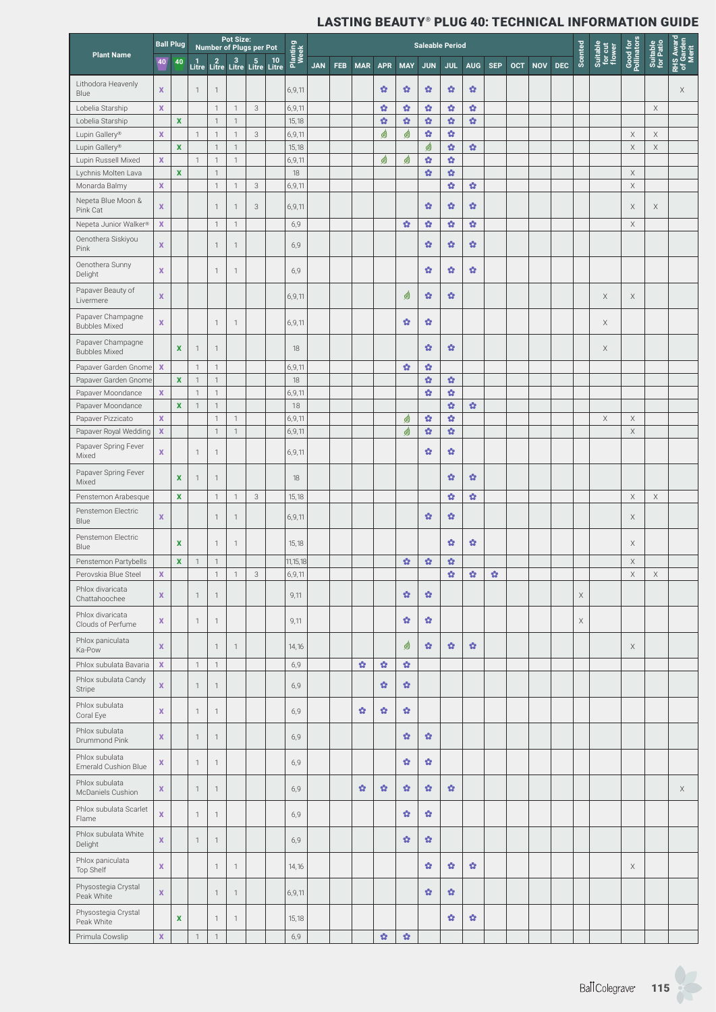|                                           |                  | <b>Ball Plug</b>   |                |                              | Pot Size:    | Number of Plugs per Pot                     |                  |            |     |            |                |                        |                       | <b>Saleable Period</b> |              |              |            |            |            |             |                               |                            |                       |                                 |
|-------------------------------------------|------------------|--------------------|----------------|------------------------------|--------------|---------------------------------------------|------------------|------------|-----|------------|----------------|------------------------|-----------------------|------------------------|--------------|--------------|------------|------------|------------|-------------|-------------------------------|----------------------------|-----------------------|---------------------------------|
| <b>Plant Name</b>                         | 40               | 40                 |                |                              |              | 1 2 3 5 10<br>Litre Litre Litre Litre Litre | Planting<br>Week | <b>JAN</b> | FEB | <b>MAR</b> | <b>APR</b>     | <b>MAY</b>             | <b>JUN</b>            | <b>JUL</b>             | <b>AUG</b>   | <b>SEP</b>   | <b>OCT</b> | <b>NOV</b> | <b>DEC</b> | Scented     | Suitable<br>for cut<br>flower | Good for<br>Pollinators    | Suitable<br>for Patio | RHS Award<br>of Garden<br>Merit |
| Lithodora Heavenly<br>Blue                | X                |                    | $\mathbf{1}$   | $\overline{1}$               |              |                                             | 6,9,11           |            |     |            | ŵ              | ŵ                      | ŵ                     | ŵ                      | ŵ            |              |            |            |            |             |                               |                            |                       | X                               |
| Lobelia Starship                          | $\mathbf x$      |                    |                | $\mathbf{1}$                 | $\mathbf{1}$ | 3                                           | 6,9,11           |            |     |            | ŵ              | ŵ                      | ŵ                     | ŵ                      | $\mathbf{G}$ |              |            |            |            |             |                               |                            | $\mathsf X$           |                                 |
| Lobelia Starship                          |                  | $\mathbf x$        |                | $\mathbf{1}$                 | $\mathbf{1}$ |                                             | 15,18            |            |     |            | ŵ              | $\mathbf{Q}$           | $\mathbf{Q}$          | $\bullet$              | ŵ            |              |            |            |            |             |                               |                            |                       |                                 |
| Lupin Gallery®                            | $\mathbf x$      |                    | $\mathbf{1}$   | $\mathbf{1}$                 | $\mathbf{1}$ | 3                                           | 6,9,11           |            |     |            | ☝              | ☝                      | $\Omega$              | ŵ                      |              |              |            |            |            |             |                               | $\mathsf X$                | $\mathsf X$           |                                 |
| Lupin Gallery®                            |                  | $\pmb{\mathsf{x}}$ |                | $\mathbf{1}$                 | $\mathbf{1}$ |                                             | 15,18            |            |     |            |                |                        | 9                     | ŵ                      | $\mathbf{G}$ |              |            |            |            |             |                               | $\mathsf X$                | $\mathsf X$           |                                 |
| Lupin Russell Mixed                       | X                |                    | $\mathbf{1}$   | $\mathbf{1}$                 | $\mathbf{1}$ |                                             | 6,9,11           |            |     |            | ☝              | ☝                      | $\Omega$              | ŵ                      |              |              |            |            |            |             |                               |                            |                       |                                 |
| Lychnis Molten Lava<br>Monarda Balmy      | X                | $\mathbf x$        |                | $\mathbf{1}$<br>$\mathbf{1}$ | $\mathbf{1}$ | 3                                           | 18<br>6,9,11     |            |     |            |                |                        | $\Omega$              | $\bullet$<br>ŵ         | ŵ            |              |            |            |            |             |                               | $\mathsf X$<br>$\mathsf X$ |                       |                                 |
| Nepeta Blue Moon &<br>Pink Cat            | X                |                    |                | $\mathbf{1}$                 | 1            | 3                                           | 6,9,11           |            |     |            |                |                        | ŵ                     | ŵ                      | ŵ            |              |            |            |            |             |                               | X                          | Χ                     |                                 |
| Nepeta Junior Walker®                     | $\mathbf x$      |                    |                | $\mathbf{1}$                 | $\mathbf{1}$ |                                             | 6,9              |            |     |            |                | $\mathbf{G}$           | $\Omega$              | ŵ                      | ŵ            |              |            |            |            |             |                               | $\mathsf X$                |                       |                                 |
| Oenothera Siskiyou<br>Pink                | x                |                    |                | $\overline{1}$               | $\mathbf{1}$ |                                             | 6,9              |            |     |            |                |                        | ŵ                     | ŵ                      | ŵ            |              |            |            |            |             |                               |                            |                       |                                 |
| Oenothera Sunny<br>Delight                | $\mathbf x$      |                    |                | $\mathbf{1}$                 | $\mathbf{1}$ |                                             | 6,9              |            |     |            |                |                        | ŵ                     | ŵ                      | ŵ            |              |            |            |            |             |                               |                            |                       |                                 |
| Papaver Beauty of<br>Livermere            | X                |                    |                |                              |              |                                             | 6,9,11           |            |     |            |                | ☝                      | ŵ                     | ŵ                      |              |              |            |            |            |             | X                             | X                          |                       |                                 |
| Papaver Champagne<br><b>Bubbles Mixed</b> | x                |                    |                | $\mathbf{1}$                 | $\mathbf{1}$ |                                             | 6,9,11           |            |     |            |                | ŵ                      | ŵ                     |                        |              |              |            |            |            |             | X                             |                            |                       |                                 |
| Papaver Champagne<br><b>Bubbles Mixed</b> |                  | X                  | $\overline{1}$ | $\mathbf{1}$                 |              |                                             | 18               |            |     |            |                |                        | ŵ                     | ŵ                      |              |              |            |            |            |             | $\mathsf X$                   |                            |                       |                                 |
| Papaver Garden Gnome                      | $\boldsymbol{X}$ |                    | $\mathbf{1}$   | $\mathbf{1}$                 |              |                                             | 6,9,11           |            |     |            |                | ŵ                      | $\mathfrak{A}$        |                        |              |              |            |            |            |             |                               |                            |                       |                                 |
| Papaver Garden Gnome                      |                  | $\mathbf x$        | $\mathbf{1}$   | $\mathbf{1}$                 |              |                                             | 18               |            |     |            |                |                        | $\mathfrak{S}$        | ŵ                      |              |              |            |            |            |             |                               |                            |                       |                                 |
| Papaver Moondance                         | $\mathbf x$      |                    | $\overline{1}$ | $\mathbf{1}$                 |              |                                             | 6,9,11           |            |     |            |                |                        | $\Omega$              | ŵ                      |              |              |            |            |            |             |                               |                            |                       |                                 |
| Papaver Moondance                         |                  | $\pmb{\mathsf{x}}$ | $\mathbf{1}$   | $\mathbf{1}$                 |              |                                             | 18               |            |     |            |                |                        |                       | ŵ                      | ŵ            |              |            |            |            |             |                               |                            |                       |                                 |
| Papaver Pizzicato                         | $\mathbf x$      |                    |                | $\mathbf{1}$                 | $\mathbf{1}$ |                                             | 6,9,11           |            |     |            |                | ☝                      | ŵ                     | ŵ                      |              |              |            |            |            |             | X                             | Χ                          |                       |                                 |
| Papaver Royal Wedding                     | $\mathbf{x}$     |                    |                | $\mathbf{1}$                 | $\mathbf{1}$ |                                             | 6,9,11           |            |     |            |                | ☝                      | $\mathbf{Q}$          | $\bullet$              |              |              |            |            |            |             |                               | $\mathsf X$                |                       |                                 |
| Papaver Spring Fever<br>Mixed             | X                |                    | $\mathbf{1}$   | $\mathbf{1}$                 |              |                                             | 6,9,11           |            |     |            |                |                        | ✿                     | ŵ                      |              |              |            |            |            |             |                               |                            |                       |                                 |
| Papaver Spring Fever<br>Mixed             |                  | X                  | $\overline{1}$ | $\mathbf{1}$                 |              |                                             | 18               |            |     |            |                |                        |                       | ŵ                      | ŵ            |              |            |            |            |             |                               |                            |                       |                                 |
| Penstemon Arabesque                       |                  | $\mathbf x$        |                | $\mathbf{1}$                 | $\mathbf{1}$ | 3                                           | 15,18            |            |     |            |                |                        |                       | ŵ                      | $\mathbf{G}$ |              |            |            |            |             |                               | $\mathsf X$                | $\mathsf X$           |                                 |
| Penstemon Electric<br>Blue                | $\mathbf x$      |                    |                | $\mathbf{1}$                 | $\mathbf{1}$ |                                             | 6,9,11           |            |     |            |                |                        | ŵ                     | ŵ                      |              |              |            |            |            |             |                               | Χ                          |                       |                                 |
| Penstemon Electric<br>Blue                |                  | X                  |                | $\mathbf{1}$                 | 1            |                                             | 15,18            |            |     |            |                |                        |                       | ŵ                      | ŵ            |              |            |            |            |             |                               | Χ                          |                       |                                 |
| Penstemon Partybells                      |                  | $\pmb{\mathsf{x}}$ | $\mathbf{1}$   | $\mathbf{1}$                 |              |                                             | 11, 15, 18       |            |     |            |                | $\boldsymbol{\Omega}$  | $\mathbf{G}$          | $\Omega$               |              |              |            |            |            |             |                               | $\mathsf X$                |                       |                                 |
| Perovskia Blue Steel                      | $\mathbf x$      |                    |                | $\overline{1}$               | $\mathbf{1}$ | $\mathbf{3}$                                | 6, 9, 11         |            |     |            |                |                        |                       | ŵ                      | $\Omega$     | $\mathbf{G}$ |            |            |            |             |                               | $\mathsf X$                | $\mathsf X$           |                                 |
| Phlox divaricata<br>Chattahoochee         | X                |                    | $\mathbf{1}$   | $\mathbf{1}$                 |              |                                             | 9,11             |            |     |            |                | ŵ                      | ŵ                     |                        |              |              |            |            |            | $\mathsf X$ |                               |                            |                       |                                 |
| Phlox divaricata<br>Clouds of Perfume     | X                |                    | $\mathbf{1}$   | $\mathbf{1}$                 |              |                                             | 9,11             |            |     |            |                | ŵ                      | ŵ                     |                        |              |              |            |            |            | X           |                               |                            |                       |                                 |
| Phlox paniculata<br>Ka-Pow                | X                |                    |                | $\mathbf{1}$                 | $\mathbf{1}$ |                                             | 14,16            |            |     |            |                | ☝                      | ŵ                     | ŵ                      | ŵ            |              |            |            |            |             |                               | $\mathsf X$                |                       |                                 |
| Phlox subulata Bavaria                    | $\mathbf x$      |                    | $\mathbf{1}$   | $\mathbf{1}$                 |              |                                             | 6,9              |            |     | ŵ          | $\bullet$      | $\mathbf{G}^{\bullet}$ |                       |                        |              |              |            |            |            |             |                               |                            |                       |                                 |
| Phlox subulata Candy<br>Stripe            | x                |                    | $\mathbf{1}$   | $\mathbf{1}$                 |              |                                             | 6,9              |            |     |            | ŵ              | Ŷ.                     |                       |                        |              |              |            |            |            |             |                               |                            |                       |                                 |
| Phlox subulata<br>Coral Eye               | X                |                    | $\mathbf 1$    | 1                            |              |                                             | 6,9              |            |     | ŵ          | ŵ              | ÷.                     |                       |                        |              |              |            |            |            |             |                               |                            |                       |                                 |
| Phlox subulata<br>Drummond Pink           | X                |                    | $\mathbf{1}$   | $\mathbf{1}$                 |              |                                             | 6,9              |            |     |            |                | $\mathfrak{P}$         | ŵ                     |                        |              |              |            |            |            |             |                               |                            |                       |                                 |
| Phlox subulata<br>Emerald Cushion Blue    | x                |                    | $\mathbf 1$    | $\mathbf{1}$                 |              |                                             | 6,9              |            |     |            |                | ŵ                      | ŵ                     |                        |              |              |            |            |            |             |                               |                            |                       |                                 |
| Phlox subulata<br>McDaniels Cushion       | x                |                    | $\mathbf{1}$   | $\mathbf{1}$                 |              |                                             | 6,9              |            |     | $\bullet$  | ŵ              | $\Omega$               | ŵ                     | ŵ.                     |              |              |            |            |            |             |                               |                            |                       | X                               |
| Phlox subulata Scarlet<br>Flame           | X                |                    | $\mathbf{1}$   | $\mathbf{1}$                 |              |                                             | 6,9              |            |     |            |                | ŵ                      | ŵ                     |                        |              |              |            |            |            |             |                               |                            |                       |                                 |
| Phlox subulata White<br>Delight           | X                |                    | $\mathbf 1$    | $\mathbf{1}$                 |              |                                             | 6,9              |            |     |            |                | ŵ                      | ŵ                     |                        |              |              |            |            |            |             |                               |                            |                       |                                 |
| Phlox paniculata<br>Top Shelf             | X                |                    |                | 1                            | $\mathbf{1}$ |                                             | 14,16            |            |     |            |                |                        | ŵ                     | ŵ                      | ŵ            |              |            |            |            |             |                               | Χ                          |                       |                                 |
| Physostegia Crystal<br>Peak White         | $\mathbf{x}$     |                    |                | $\mathbf{1}$                 | $\mathbf{1}$ |                                             | 6,9,11           |            |     |            |                |                        | $\boldsymbol{\Omega}$ | ŵ                      |              |              |            |            |            |             |                               |                            |                       |                                 |
| Physostegia Crystal<br>Peak White         |                  | $\mathbf x$        |                | $\mathbf{1}$                 | 1            |                                             | 15,18            |            |     |            |                |                        |                       | ŵ                      | ŵ            |              |            |            |            |             |                               |                            |                       |                                 |
| Primula Cowslip                           | $\mathbf X$      |                    | $\mathbf 1$    | $\mathbf{1}$                 |              |                                             | 6,9              |            |     |            | $\mathfrak{O}$ | $\mathfrak{O}$         |                       |                        |              |              |            |            |            |             |                               |                            |                       |                                 |